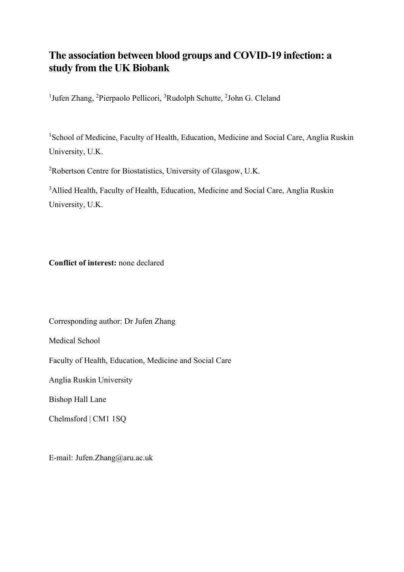# **The association between blood groups and COVID-19 infection: a study from the UK Biobank**

<sup>1</sup>Jufen Zhang, <sup>2</sup>Pierpaolo Pellicori, <sup>3</sup>Rudolph Schutte, <sup>2</sup>John G. Cleland

<sup>1</sup>School of Medicine, Faculty of Health, Education, Medicine and Social Care, Anglia Ruskin University, U.K.

<sup>2</sup>Robertson Centre for Biostatistics, University of Glasgow, U.K.

<sup>3</sup>Allied Health, Faculty of Health, Education, Medicine and Social Care, Anglia Ruskin University, U.K.

**Conflict of interest:** none declared

Corresponding author: Dr Jufen Zhang

Medical School

Faculty of Health, Education, Medicine and Social Care

Anglia Ruskin University

Bishop Hall Lane

Chelmsford | CM1 1SQ

E-mail: Jufen.Zhang@aru.ac.uk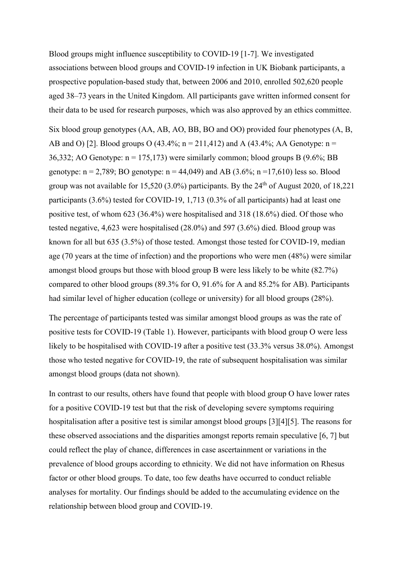Blood groups might influence susceptibility to COVID-19 [1-7]. We investigated associations between blood groups and COVID-19 infection in UK Biobank participants, a prospective population-based study that, between 2006 and 2010, enrolled 502,620 people aged 38–73 years in the United Kingdom. All participants gave written informed consent for their data to be used for research purposes, which was also approved by an ethics committee.

Six blood group genotypes (AA, AB, AO, BB, BO and OO) provided four phenotypes (A, B, AB and O) [2]. Blood groups O (43.4%;  $n = 211,412$ ) and A (43.4%; AA Genotype:  $n =$ 36,332; AO Genotype:  $n = 175,173$ ) were similarly common; blood groups B (9.6%; BB genotype:  $n = 2,789$ ; BO genotype:  $n = 44,049$ ) and AB (3.6%;  $n = 17,610$ ) less so. Blood group was not available for  $15,520$  (3.0%) participants. By the  $24<sup>th</sup>$  of August 2020, of 18,221 participants (3.6%) tested for COVID-19, 1,713 (0.3% of all participants) had at least one positive test, of whom 623 (36.4%) were hospitalised and 318 (18.6%) died. Of those who tested negative, 4,623 were hospitalised (28.0%) and 597 (3.6%) died. Blood group was known for all but 635 (3.5%) of those tested. Amongst those tested for COVID-19, median age (70 years at the time of infection) and the proportions who were men (48%) were similar amongst blood groups but those with blood group B were less likely to be white (82.7%) compared to other blood groups (89.3% for O, 91.6% for A and 85.2% for AB). Participants had similar level of higher education (college or university) for all blood groups (28%).

The percentage of participants tested was similar amongst blood groups as was the rate of positive tests for COVID-19 (Table 1). However, participants with blood group O were less likely to be hospitalised with COVID-19 after a positive test (33.3% versus 38.0%). Amongst those who tested negative for COVID-19, the rate of subsequent hospitalisation was similar amongst blood groups (data not shown).

In contrast to our results, others have found that people with blood group O have lower rates for a positive COVID-19 test but that the risk of developing severe symptoms requiring hospitalisation after a positive test is similar amongst blood groups [3][4][5]. The reasons for these observed associations and the disparities amongst reports remain speculative [6, 7] but could reflect the play of chance, differences in case ascertainment or variations in the prevalence of blood groups according to ethnicity. We did not have information on Rhesus factor or other blood groups. To date, too few deaths have occurred to conduct reliable analyses for mortality. Our findings should be added to the accumulating evidence on the relationship between blood group and COVID-19.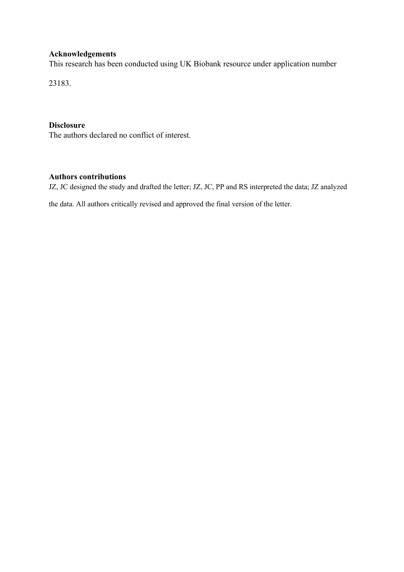### **Acknowledgements**

This research has been conducted using UK Biobank resource under application number

23183.

## **Disclosure**

The authors declared no conflict of interest.

# **Authors contributions**

JZ, JC designed the study and drafted the letter; JZ, JC, PP and RS interpreted the data; JZ analyzed

the data. All authors critically revised and approved the final version of the letter.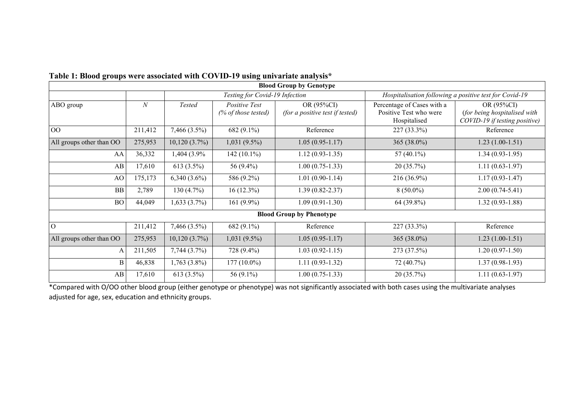| <b>Blood Group by Genotype</b>  |                  |                                |                                      |                                               |                                                                      |                                                                             |
|---------------------------------|------------------|--------------------------------|--------------------------------------|-----------------------------------------------|----------------------------------------------------------------------|-----------------------------------------------------------------------------|
|                                 |                  | Testing for Covid-19 Infection |                                      |                                               | Hospitalisation following a positive test for Covid-19               |                                                                             |
| ABO group                       | $\boldsymbol{N}$ | Tested                         | Positive Test<br>(% of those tested) | OR (95%CI)<br>(for a positive test if tested) | Percentage of Cases with a<br>Positive Test who were<br>Hospitalised | OR (95%CI)<br>(for being hospitalised with<br>COVID-19 if testing positive) |
| O <sub>O</sub>                  | 211,412          | 7,466 (3.5%)                   | 682 (9.1%)                           | Reference                                     | 227 (33.3%)                                                          | Reference                                                                   |
| All groups other than OO        | 275,953          | $10,120(3.7\%)$                | 1,031 (9.5%)                         | $1.05(0.95-1.17)$                             | 365 (38.0%)                                                          | $1.23(1.00-1.51)$                                                           |
| AA                              | 36,332           | 1,404 (3.9%)                   | 142 $(10.1\%)$                       | $1.12(0.93-1.35)$                             | 57 $(40.1\%)$                                                        | $1.34(0.93-1.95)$                                                           |
| AB                              | 17,610           | 613 (3.5%)                     | 56 (9.4%)                            | $1.00(0.75-1.33)$                             | 20 (35.7%)                                                           | $1.11(0.63-1.97)$                                                           |
| AO                              | 175,173          | $6,340(3.6\%)$                 | 586 (9.2%)                           | $1.01(0.90-1.14)$                             | 216 (36.9%)                                                          | $1.17(0.93 - 1.47)$                                                         |
| BB                              | 2,789            | 130(4.7%)                      | $16(12.3\%)$                         | $1.39(0.82 - 2.37)$                           | $8(50.0\%)$                                                          | $2.00(0.74-5.41)$                                                           |
| <b>BO</b>                       | 44,049           | 1,633(3.7%)                    | 161 $(9.9\%)$                        | $1.09(0.91-1.30)$                             | 64 (39.8%)                                                           | $1.32(0.93 - 1.88)$                                                         |
| <b>Blood Group by Phenotype</b> |                  |                                |                                      |                                               |                                                                      |                                                                             |
| $\overline{O}$                  | 211,412          | 7,466 (3.5%)                   | 682 (9.1%)                           | Reference                                     | 227 (33.3%)                                                          | Reference                                                                   |
| All groups other than OO        | 275,953          | $10,120(3.7\%)$                | 1,031 (9.5%)                         | $1.05(0.95-1.17)$                             | 365 (38.0%)                                                          | $1.23(1.00-1.51)$                                                           |
| A                               | 211,505          | 7,744(3.7%)                    | 728 (9.4%)                           | $1.03(0.92 - 1.15)$                           | 273 (37.5%)                                                          | $1.20(0.97-1.50)$                                                           |
| B                               | 46,838           | $1,763(3.8\%)$                 | $177(10.0\%)$                        | $1.11(0.93-1.32)$                             | 72 (40.7%)                                                           | $1.37(0.98-1.93)$                                                           |
| AB                              | 17,610           | 613 (3.5%)                     | 56 (9.1%)                            | $1.00(0.75-1.33)$                             | 20 (35.7%)                                                           | $1.11(0.63-1.97)$                                                           |

**Table 1: Blood groups were associated with COVID-19 using univariate analysis\***

\*Compared with O/OO other blood group (either genotype or phenotype) was not significantly associated with both cases using the multivariate analyses adjusted for age, sex, education and ethnicity groups.